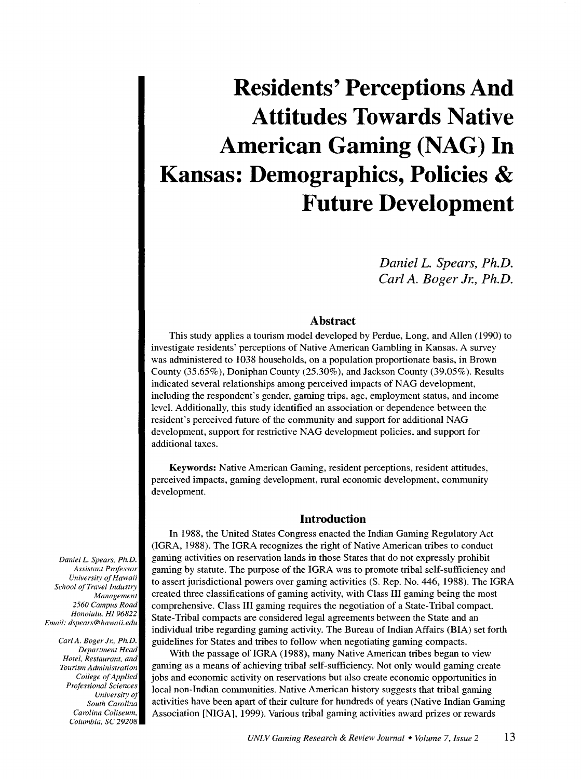*DanielL. Spears, Ph.D. Carl A. Boger Jr., Ph.D.* 

# **Abstract**

This study applies a tourism model developed by Perdue, Long, and Allen ( 1990) to investigate residents' perceptions of Native American Gambling in Kansas. A survey was administered to 1038 households, on a population proportionate basis, in Brown County (35 .65% ), Doniphan County (25.30% ), and Jackson County (39.05% ). Results indicated several relationships among perceived impacts of NAG development, including the respondent's gender, gaming trips, age, employment status, and income level. Additionally, this study identified an association or dependence between the resident's perceived future of the community and support for additional NAG development, support for restrictive NAG development policies, and support for additional taxes.

Keywords: Native American Gaming, resident perceptions, resident attitudes, perceived impacts, gaming development, rural economic development, community development.

#### **Introduction**

In 1988, the United States Congress enacted the Indian Gaming Regulatory Act (IGRA, 1988). The IGRA recognizes the right of Native American tribes to conduct gaming activities on reservation lands in those States that do not expressly prohibit gaming by statute. The purpose of the IGRA was to promote tribal self-sufficiency and to assert jurisdictional powers over gaming activities (S. Rep. No. 446, 1988). The IGRA created three classifications of gaming activity, with Class III gaming being the most comprehensive. Class III gaming requires the negotiation of a State-Tribal compact. State-Tribal compacts are considered legal agreements between the State and an individual tribe regarding gaming activity. The Bureau of Indian Affairs (BIA) set forth guidelines for States and tribes to follow when negotiating gaming compacts.

With the passage of IGRA (1988), many Native American tribes began to view gaming as a means of achieving tribal self-sufficiency. Not only would gaming create jobs and economic activity on reservations but also create economic opportunities in local non-Indian communities. Native American history suggests that tribal gaming activities have been apart of their culture for hundreds of years (Native Indian Gaming Association [NIGA], 1999). Various tribal gaming activities award prizes or rewards

*DanielL. Spears. Ph.D. Assistant Professor University of Hawaii School of Travel Industry Management 2560 Campus Road Honolulu. HI 96822 Email: dspears@hawaii.edu* 

> *Carl A. Boger* Jr.. *Ph.D. Department Head Hotel. Restaurant, and Tourism Administration College of Applied Professional Sciences University of South Carolina Carolina Coliseum. Columbia, SC 29208*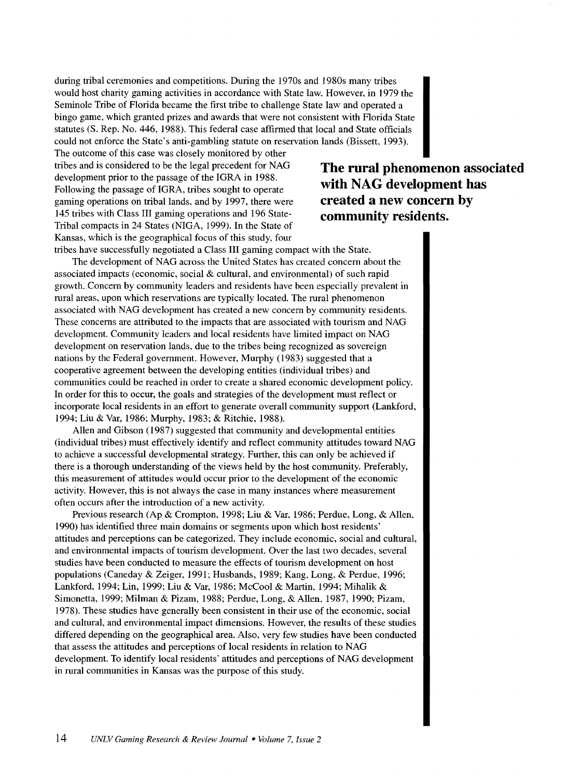during tribal ceremonies and competitions. During the 1970s and 1980s many tribes would host charity gaming activities in accordance with State law. However, in 1979 the Seminole Tribe of Florida became the first tribe to challenge State law and operated a bingo game, which granted prizes and awards that were not consistent with Florida State statutes (S. Rep. No. 446, 1988). This federal case affirmed that local and State officials could not enforce the State's anti-gambling statute on reservation lands (Bissett, 1993).

The outcome of this case was closely monitored by other tribes and is considered to be the legal precedent for NAG development prior to the passage of the IGRA in 1988. Following the passage of IGRA, tribes sought to operate gaming operations on tribal lands, and by 1997, there were 145 tribes with Class III gaming operations and 196 State-Tribal compacts in 24 States (NIGA, 1999). In the State of Kansas, which is the geographical focus of this study, four tribes have successfully negotiated a Class III gaming compact with the State.

# **The rural phenomenon associated with NAG development has created a new concern by community residents.**

The development of NAG across the United States has created concern about the associated impacts (economic, social & cultural, and environmental) of such rapid growth. Concern by community leaders and residents have been especially prevalent in rural areas, upon which reservations are typically located. The rural phenomenon associated with NAG development has created a new concern by community residents. These concerns are attributed to the impacts that are associated with tourism and NAG development. Community leaders and local residents have limited impact on NAG development on reservation lands, due to the tribes being recognized as sovereign nations by the Federal government. However, Murphy (1983) suggested that a cooperative agreement between the developing entities (individual tribes) and communities could be reached in order to create a shared economic development policy. In order for this to occur, the goals and strategies of the development must reflect or incorporate local residents in an effort to generate overall community support (Lankford, 1994; Liu & Var, 1986; Murphy, 1983; & Ritchie, 1988).

Allen and Gibson (1987) suggested that community and developmental entities (individual tribes) must effectively identify and reflect community attitudes toward NAG to achieve a successful developmental strategy. Further, this can only be achieved if there is a thorough understanding of the views held by the host community. Preferably, this measurement of attitudes would occur prior to the development of the economic activity. However, this is not always the case in many instances where measurement often occurs after the introduction of a new activity.

Previous research (Ap & Crompton, 1998; Liu & Var, 1986; Perdue, Long, & Allen, 1990) has identified three main domains or segments upon which host residents' attitudes and perceptions can be categorized. They include economic, social and cultural, and environmental impacts of tourism development. Over the last two decades, several studies have been conducted to measure the effects of tourism development on host populations (Caneday & Zeiger, 1991; Husbands, 1989; Kang, Long, & Perdue, 1996; Lankford, 1994; Lin, 1999; Liu & Var, 1986; McCool & Martin, 1994; Mihalik & Simonetta, 1999; Milman & Pizam, 1988; Perdue, Long, & Allen, 1987, 1990; Pizam, 1978). These studies have generally been consistent in their use of the economic, social and cultural, and environmental impact dimensions. However, the results of these studies differed depending on the geographical area. Also, very few studies have been conducted that assess the attitudes and perceptions of local residents in relation to NAG development. To identify local residents' attitudes and perceptions of NAG development in rural communities in Kansas was the purpose of this study.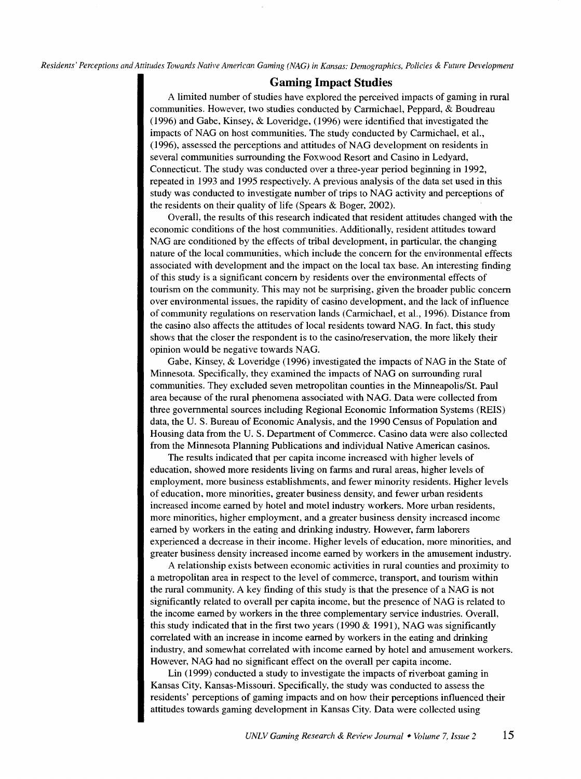# **Gaming Impact Studies**

A limited number of studies have explored the perceived impacts of gaming in rural communities. However, two studies conducted by Carmichael, Peppard, & Boudreau (1996) and Gabe, Kinsey, & Loveridge, (1996) were identified that investigated the impacts of NAG on host communities. The study conducted by Carmichael, et al., (1996), assessed the perceptions and attitudes of NAG development on residents in several communities surrounding the Fox wood Resort and Casino in Ledyard, Connecticut. The study was conducted over a three-year period beginning in 1992, repeated in 1993 and 1995 respectively. A previous analysis of the data set used in this study was conducted to investigate number of trips to NAG activity and perceptions of the residents on their quality of life (Spears & Boger, 2002).

Overall, the results of this research indicated that resident attitudes changed with the economic conditions of the host communities. Additionally, resident attitudes toward NAG are conditioned by the effects of tribal development, in particular, the changing nature of the local communities, which include the concern for the environmental effects associated with development and the impact on the local tax base. An interesting finding of this study is a significant concern by residents over the environmental effects of tourism on the community. This may not be surprising, given the broader public concern over environmental issues, the rapidity of casino development, and the lack of influence of community regulations on reservation lands (Carmichael, et al., 1996). Distance from the casino also affects the attitudes of local residents toward NAG. In fact, this study shows that the closer the respondent is to the casino/reservation, the more likely their opinion would be negative towards NAG.

Gabe, Kinsey, & Loveridge (1996) investigated the impacts of NAG in the State of Minnesota. Specifically, they examined the impacts of NAG on surrounding rural communities. They excluded seven metropolitan counties in the Minneapolis/St. Paul area because of the rural phenomena associated with NAG. Data were collected from three governmental sources including Regional Economic Information Systems (REIS) data, the U. S. Bureau of Economic Analysis, and the 1990 Census of Population and Housing data from the U. S. Department of Commerce. Casino data were also collected from the Minnesota Planning Publications and individual Native American casinos.

The results indicated that per capita income increased with higher levels of education, showed more residents living on farms and rural areas, higher levels of employment, more business establishments, and fewer minority residents. Higher levels of education, more minorities, greater business density, and fewer urban residents increased income earned by hotel and motel industry workers. More urban residents, more minorities, higher employment, and a greater business density increased income earned by workers in the eating and drinking industry. However, farm laborers experienced a decrease in their income. Higher levels of education, more minorities, and greater business density increased income earned by workers in the amusement industry.

A relationship exists between economic activities in rural counties and proximity to a metropolitan area in respect to the level of commerce, transport, and tourism within the rural community. A key finding of this study is that the presence of a NAG is not significantly related to overall per capita income, but the presence of NAG is related to the income earned by workers in the three complementary service industries. Overall, this study indicated that in the first two years (1990  $&$  1991), NAG was significantly correlated with an increase in income earned by workers in the eating and drinking industry, and somewhat correlated with income earned by hotel and amusement workers. However, NAG had no significant effect on the overall per capita income.

Lin ( 1999) conducted a study to investigate the impacts of riverboat gaming in Kansas City, Kansas-Missouri. Specifically, the study was conducted to assess the residents' perceptions of gaming impacts and on how their perceptions influenced their attitudes towards gaming development in Kansas City. Data were collected using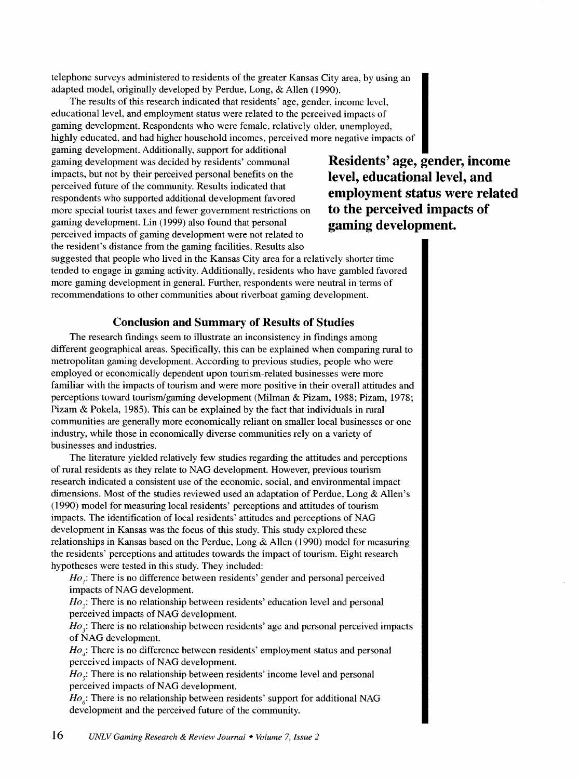telephone surveys administered to residents of the greater Kansas City area, by using an adapted model, originally developed by Perdue, Long, & Allen (1990).

The results of this research indicated that residents' age, gender, income level, educational level, and employment status were related to the perceived impacts of gaming development. Respondents who were female, relatively older, unemployed, highly educated, and had higher household incomes, perceived more negative impacts of

gaming development. Additionally, support for additional gaming development was decided by residents' communal impacts, but not by their perceived personal benefits on the perceived future of the community. Results indicated that respondents who supported additional development favored more special tourist taxes and fewer government restrictions on gaming development. Lin (1999) also found that personal perceived impacts of gaming development were not related to the resident's distance from the gaming facilities. Results also

**Residents' age, gender, income level, educational level, and employment status were related to the perceived impacts of gaming development.** 

suggested that people who lived in the Kansas City area for a relatively shorter time tended to engage in gaming activity. Additionally, residents who have gambled favored more gaming development in general. Further, respondents were neutral in terms of recommendations to other communities about riverboat gaming development.

### **Conclusion and Summary of Results of Studies**

The research findings seem to illustrate an inconsistency in findings among different geographical areas. Specifically, this can be explained when comparing rural to metropolitan gaming development. According to previous studies, people who were employed or economically dependent upon tourism-related businesses were more familiar with the impacts of tourism and were more positive in their overall attitudes and perceptions toward tourism/gaming development (Milman & Pizam, 1988; Pizam, 1978; Pizam & Pokela, 1985). This can be explained by the fact that individuals in rural communities are generally more economically reliant on smaller local businesses or one industry, while those in economically diverse communities rely on a variety of businesses and industries.

The literature yielded relatively few studies regarding the attitudes and perceptions of rural residents as they relate to NAG development. However, previous tourism research indicated a consistent use of the economic, social, and environmental impact dimensions. Most of the studies reviewed used an adaptation of Perdue, Long & Allen's (1990) model for measuring local residents' perceptions and attitudes of tourism impacts. The identification of local residents' attitudes and perceptions of NAG development in Kansas was the focus of this study. This study explored these relationships in Kansas based on the Perdue, Long & Allen (1990) model for measuring the residents' perceptions and attitudes towards the impact of tourism. Eight research hypotheses were tested in this study. They included:

*Ho<sub>i</sub>*: There is no difference between residents' gender and personal perceived impacts of NAG development.

*Ho*<sub>2</sub>: There is no relationship between residents' education level and personal perceived impacts of NAG development.

*Ho*<sub>3</sub>: There is no relationship between residents' age and personal perceived impacts of NAG development.

*Ho<sub>i</sub>*: There is no difference between residents' employment status and personal perceived impacts of NAG development.

 $Ho<sub>s</sub>:$  There is no relationship between residents' income level and personal perceived impacts of NAG development.

 $Ho_{\leq}$ : There is no relationship between residents' support for additional NAG development and the perceived future of the community.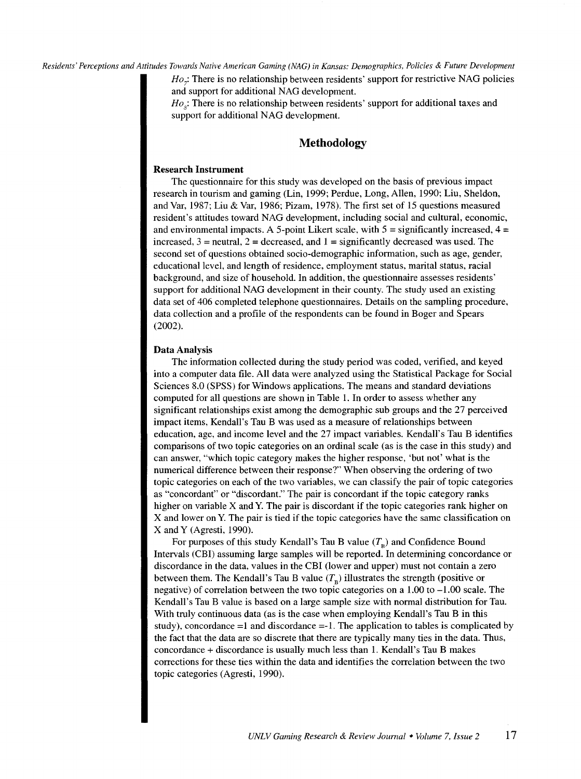$Ho<sub>7</sub>$ : There is no relationship between residents' support for restrictive NAG policies and support for additional NAG development

*Ho<sub>s</sub>*: There is no relationship between residents' support for additional taxes and support for additional NAG development.

## **Methodology**

#### Research Instrument

The questionnaire for this study was developed on the basis of previous impact research in tourism and gaming (Lin, 1999; Perdue, Long, Allen, 1990; Liu, Sheldon, and Var, 1987; Liu & Var, 1986; Pizam, 1978). The first set of 15 questions measured resident's attitudes toward NAG development, including social and cultural, economic, and environmental impacts. A 5-point Likert scale, with  $5 =$  significantly increased,  $4 =$ increased,  $3$  = neutral,  $2$  = decreased, and  $1$  = significantly decreased was used. The second set of questions obtained socio-demographic information, such as age, gender, educational level, and length of residence, employment status, marital status, racial background, and size of household. In addition, the questionnaire assesses residents' support for additional NAG development in their county. The study used an existing data set of 406 completed telephone questionnaires. Details on the sampling procedure, data collection and a profile of the respondents can be found in Boger and Spears (2002).

#### Data Analysis

The information collected during the study period was coded, verified, and keyed into a computer data file. All data were analyzed using the Statistical Package for Social Sciences 8.0 (SPSS) for Windows applications. The means and standard deviations computed for all questions are shown in Table 1. In order to assess whether any significant relationships exist among the demographic sub groups and the 27 perceived impact items, Kendall's Tau B was used as a measure of relationships between education, age, and income level and the 27 impact variables. Kendall's Tau B identifies comparisons of two topic categories on an ordinal scale (as is the case in this study) and can answer, "which topic category makes the higher response, 'but not' what is the numerical difference between their response?" When observing the ordering of two topic categories on each of the two variables, we can classify the pair of topic categories as "concordant" or "discordant." The pair is concordant if the topic category ranks higher on variable  $X$  and  $Y$ . The pair is discordant if the topic categories rank higher on X and lower on Y. The pair is tied if the topic categories have the same classification on X andY (Agresti, 1990).

For purposes of this study Kendall's Tau B value  $(T<sub>n</sub>)$  and Confidence Bound Intervals (CBI) assuming large samples will be reported. In determining concordance or discordance in the data, values in the CBI (lower and upper) must not contain a zero between them. The Kendall's Tau B value  $(T<sub>B</sub>)$  illustrates the strength (positive or negative) of correlation between the two topic categories on a 1.00 to -1.00 scale. The Kendall's Tau B value is based on a large sample size with normal distribution for Tau. With truly continuous data (as is the case when employing Kendall's Tau B in this study), concordance  $=1$  and discordance  $=-1$ . The application to tables is complicated by the fact that the data are so discrete that there are typically many ties in the data. Thus, concordance+ discordance is usually much less than 1. Kendall's Tau B makes corrections for these ties within the data and identifies the correlation between the two topic categories (Agresti, 1990).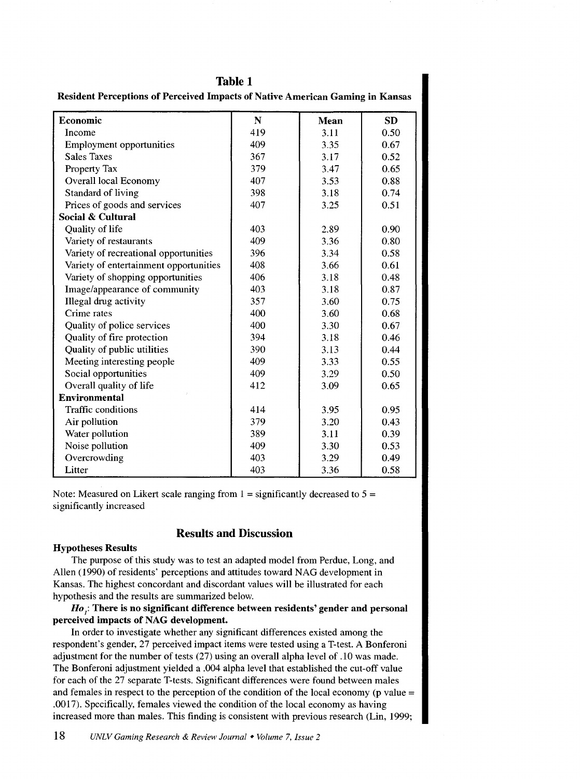| Resident Perceptions of Perceived Impacts of Native American Gaming in Kansas |             |      |           |  |  |
|-------------------------------------------------------------------------------|-------------|------|-----------|--|--|
| Economic                                                                      | $\mathbf N$ | Mean | <b>SD</b> |  |  |
| Income                                                                        | 419         | 3.11 | 0.50      |  |  |
| <b>Employment opportunities</b>                                               | 409         | 3.35 | 0.67      |  |  |
| <b>Sales Taxes</b>                                                            | 367         | 3.17 | 0.52      |  |  |
| Property Tax                                                                  | 379         | 3.47 | 0.65      |  |  |
| Overall local Economy                                                         | 407         | 3.53 | 0.88      |  |  |
| <b>Standard of living</b>                                                     | 398         | 3.18 | 0.74      |  |  |
| Prices of goods and services                                                  | 407         | 3.25 | 0.51      |  |  |
| Social & Cultural                                                             |             |      |           |  |  |
| Quality of life                                                               | 403         | 2.89 | 0.90      |  |  |
| Variety of restaurants                                                        | 409         | 3.36 | 0.80      |  |  |
| Variety of recreational opportunities                                         | 396         | 3.34 | 0.58      |  |  |
| Variety of entertainment opportunities                                        | 408         | 3.66 | 0.61      |  |  |
| Variety of shopping opportunities                                             | 406         | 3.18 | 0.48      |  |  |
| Image/appearance of community                                                 | 403         | 3.18 | 0.87      |  |  |
| Illegal drug activity                                                         | 357         | 3.60 | 0.75      |  |  |
| Crime rates                                                                   | 400         | 3.60 | 0.68      |  |  |
| Quality of police services                                                    | 400         | 3.30 | 0.67      |  |  |
| Quality of fire protection                                                    | 394         | 3.18 | 0.46      |  |  |
| Quality of public utilities                                                   | 390         | 3.13 | 0.44      |  |  |
| Meeting interesting people                                                    | 409         | 3.33 | 0.55      |  |  |
| Social opportunities                                                          | 409         | 3.29 | 0.50      |  |  |
| Overall quality of life                                                       | 412         | 3.09 | 0.65      |  |  |
| <b>Environmental</b>                                                          |             |      |           |  |  |
| Traffic conditions                                                            | 414         | 3.95 | 0.95      |  |  |
| Air pollution                                                                 | 379         | 3.20 | 0.43      |  |  |
| Water pollution                                                               | 389         | 3.11 | 0.39      |  |  |
| Noise pollution                                                               | 409         | 3.30 | 0.53      |  |  |
| Overcrowding                                                                  | 403         | 3.29 | 0.49      |  |  |
| Litter                                                                        | 403         | 3.36 | 0.58      |  |  |

**Table 1** 

Note: Measured on Likert scale ranging from  $1 =$  significantly decreased to  $5 =$ significantly increased

# **Results and Discussion**

### **Hypotheses Results**

The purpose of this study was to test an adapted model from Perdue, Long, and Allen (1990) of residents' perceptions and attitudes toward NAG development in Kansas. The highest concordant and discordant values will be illustrated for each hypothesis and the results are summarized below.

*Ho***1: There is no significant difference between residents' gender and personal perceived impacts of NAG development.** 

In order to investigate whether any significant differences existed among the respondent's gender, 27 perceived impact items were tested using aT-test. A Bonferoni adjustment for the number of tests (27) using an overall alpha level of .10 was made. The Bonferoni adjustment yielded a .004 alpha level that established the cut-off value for each of the 27 separate T-tests. Significant differences were found between males and females in respect to the perception of the condition of the local economy **(p** value = .0017). Specifically, females viewed the condition of the local economy as having increased more than males. This finding is consistent with previous research (Lin, 1999;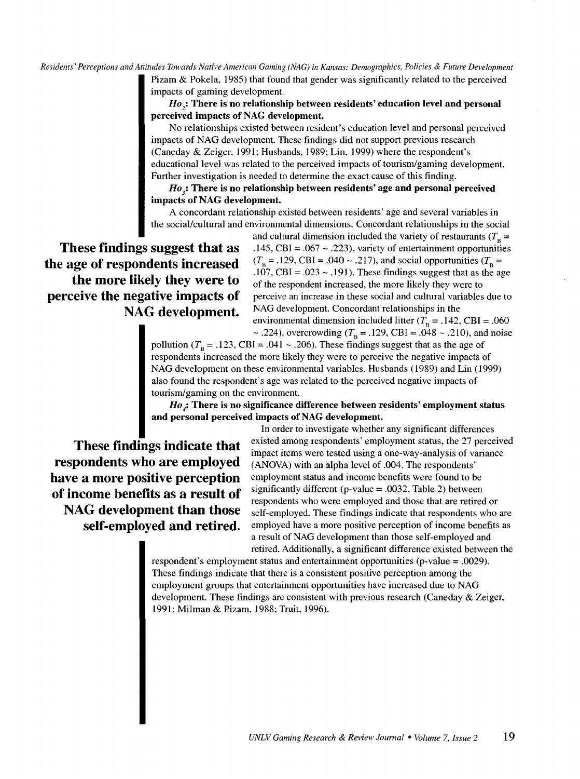*Residents' Perceptions and Attitudes Towards Native American Gaming (NAG) in Kansas: Demographics, Policies* & *Future Development*  Pizam & Pokela, 1985) that found that gender was significantly related to the perceived impacts of gaming development

> Ho<sub>2</sub>: There is no relationship between residents' education level and personal perceived impacts of NAG development.

No relationships existed between resident's education level and personal perceived impacts of NAG development. These findings did not support previous research (Caneday & Zeiger, 1991; Husbands, 1989; Lin, 1999) where the respondent's educational level was related to the perceived impacts of tourism/gaming development. Further investigation is needed to determine the exact cause of this finding.

*Ho*<sub>3</sub>: There is no relationship between residents' age and personal perceived impacts of NAG development.

A concordant relationship existed between residents' age and several variables in the social/cultural and environmental dimensions. Concordant relationships in the social

These findings suggest that as the age of respondents increased the more likely they were to perceive the negative impacts of NAG development.

and cultural dimension included the variety of restaurants ( $T<sub>B</sub>$  = .145, CBI =  $.067 \sim .223$ ), variety of entertainment opportunities  $(T_B = .129, \text{CBI} = .040 \sim .217)$ , and social opportunities  $(T_B = .129, \text{CBI} = .040 \sim .217)$ .107, CBI = .023  $\sim$  .191). These findings suggest that as the age of the respondent increased, the more likely they were to perceive an increase in these social and cultural variables due to NAG development. Concordant relationships in the environmental dimension included litter  $(T<sub>B</sub> = .142, \text{CBI} = .060)$ 

~ .224), overcrowding ( $T_B = .129$ , CBI = .048 ~ .210), and noise pollution ( $T_B$  = .123, CBI = .041 ~ .206). These findings suggest that as the age of respondents increased the more likely they were to perceive the negative impacts of NAG development on these environmental variables. Husbands (1989) and Lin (1999) also found the respondent's age was related to the perceived negative impacts of tourism/gaming on the environment.

*Ho<sub>j</sub>*: There is no significance difference between residents' employment status and personal perceived impacts of NAG development.

These findings indicate that respondents who are employed have a more positive perception of income benefits as a result of NAG development than those self-employed and retired.

In order to investigate whether any significant differences existed among respondents' employment status, the 27 perceived impact items were tested using a one-way-analysis of variance (ANOVA) with an alpha level of .004. The respondents' employment status and income benefits were found to be significantly different (p-value  $= .0032$ , Table 2) between respondents who were employed and those that are retired or self-employed. These findings indicate that respondents who are employed have a more positive perception of income benefits as a result of NAG development than those self-employed and retired. Additionally, a significant difference existed between the

respondent's employment status and entertainment opportunities (p-value = .0029). These findings indicate that there is a consistent positive perception among the employment groups that entertainment opportunities have increased due to NAG development. These findings are consistent with previous research (Caneday & Zeiger, 1991; Milman & Pizam, 1988; Truit, 1996).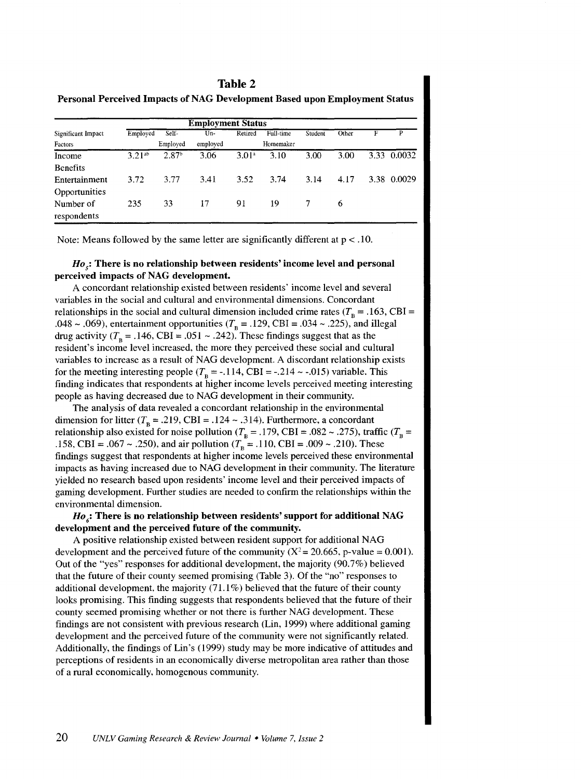### **Table 2**

| <b>Employment Status</b> |          |                   |          |                   |           |         |       |      |             |
|--------------------------|----------|-------------------|----------|-------------------|-----------|---------|-------|------|-------------|
| Significant Impact       | Employed | Self-             | Un-      | Retired           | Full-time | Student | Other | F    | p           |
| <b>Factors</b>           |          | Employed          | employed |                   | Homemaker |         |       |      |             |
| Income                   | 3.21ab   | 2.87 <sup>b</sup> | 3.06     | 3.01 <sup>a</sup> | 3.10      | 3.00    | 3.00  | 3.33 | 0.0032      |
| <b>Benefits</b>          |          |                   |          |                   |           |         |       |      |             |
| Entertainment            | 3.72     | 3.77              | 3.41     | 3.52              | 3.74      | 3.14    | 4.17  |      | 3.38 0.0029 |
| Opportunities            |          |                   |          |                   |           |         |       |      |             |
| Number of                | 235      | 33                | 17       | 91                | 19        |         | 6     |      |             |
| respondents              |          |                   |          |                   |           |         |       |      |             |

Personal Perceived Impacts of NAC Development Based upon Employ

Note: Means followed by the same letter are significantly different at  $p < .10$ .

#### *Ho<sub>5</sub>*: There is no relationship between residents' income level and personal perceived impacts of NAG development.

A concordant relationship existed between residents' income level and several variables in the social and cultural and environmental dimensions. Concordant relationships in the social and cultural dimension included crime rates ( $T<sub>B</sub> = .163$ , CBI = .048 ~ .069), entertainment opportunities ( $T<sub>B</sub>$  = .129, CBI = .034 ~ .225), and illegal drug activity ( $T<sub>e</sub> = .146$ , CBI = .051 ~ .242). These findings suggest that as the resident's income level increased. the more they perceived these social and cultural variables to increase as a result of NAG development. A discordant relationship exists for the meeting interesting people ( $T<sub>B</sub> = -.114$ , CBI = -.214 ~ -.015) variable. This finding indicates that respondents at higher income levels perceived meeting interesting people as having decreased due to NAG development in their community.

The analysis of data revealed a concordant relationship in the environmental dimension for litter ( $T_B = .219$ , CBI = .124 ~ .314). Furthermore, a concordant relationship also existed for noise pollution ( $T_B = .179$ , CBI = .082 ~ .275), traffic ( $T_B$  = .158, CBI = .067 ~ .250), and air pollution ( $T_B = .110$ , CBI = .009 ~ .210). These findings suggest that respondents at higher income levels perceived these environmental impacts as having increased due to NAG development in their community. The literature yielded no research based upon residents' income level and their perceived impacts of gaming development. Further studies are needed to confirm the relationships within the environmental dimension.

### $Ho_{\delta}$ : There is no relationship between residents' support for additional NAG development and the perceived future of the community.

A positive relationship existed between resident support for additional NAG development and the perceived future of the community ( $X^2 = 20.665$ , p-value = 0.001). Out of the "yes" responses for additional development, the majority  $(90.7%)$  believed that the future of their county seemed promising (Table 3). Of the "no" responses to additional development, the majority (71.1%) believed that the future of their county looks promising. This finding suggests that respondents believed that the future of their county seemed promising whether or not there is further NAG development. These findings are not consistent with previous research (Lin, 1999) where additional gaming development and the perceived future of the community were not significantly related. Additionally, the findings of Lin's ( 1999) study may be more indicative of attitudes and perceptions of residents in an economically diverse metropolitan area rather than those of a rural economically, homogenous community.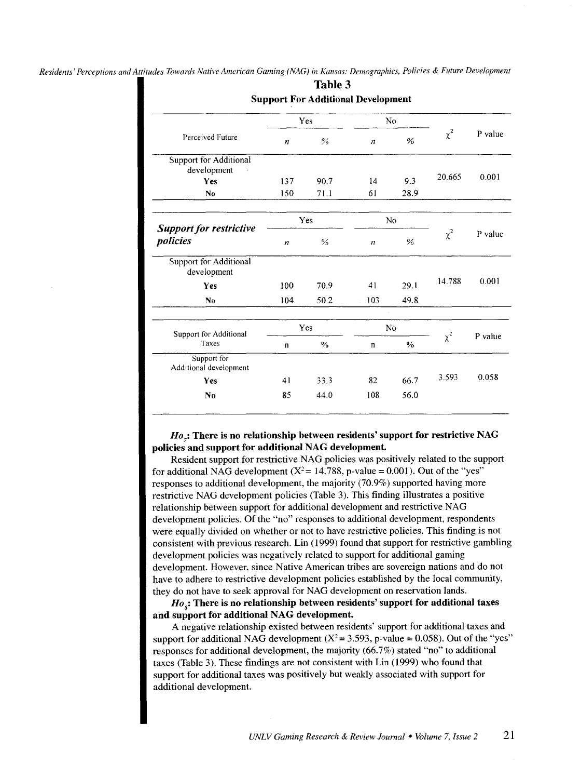| Perceived Future                           | Yes              |               | N <sub>0</sub>   |               |          |         |
|--------------------------------------------|------------------|---------------|------------------|---------------|----------|---------|
|                                            | $\boldsymbol{n}$ | %             | n                | %             | $\chi^2$ | P value |
| Support for Additional<br>development      |                  |               |                  |               |          |         |
| <b>Yes</b>                                 | 137              | 90.7          | 14               | 9.3           | 20.665   | 0.001   |
| No.                                        | 150              | 71.1          | 61               | 28.9          |          |         |
| <b>Support for restrictive</b><br>policies | Yes<br>No        |               |                  |               |          |         |
|                                            | $\boldsymbol{n}$ | %             | $\boldsymbol{n}$ | %             | $\chi^2$ | P value |
| Support for Additional<br>development      |                  |               |                  |               |          |         |
| Yes                                        | 100              | 70.9          | 41               | 29.1          | 14.788   | 0.001   |
| No.                                        | 104              | 50.2          | 103              | 49.8          |          |         |
| Support for Additional<br>Taxes            | Yes              |               | <b>No</b>        |               |          |         |
|                                            | $\mathbf n$      | $\frac{0}{6}$ | n                | $\frac{0}{0}$ | $\chi^2$ | P value |
| Support for<br>Additional development      |                  |               |                  |               |          |         |
| <b>Yes</b>                                 | 41               | 33.3          | 82               | 66.7          | 3.593    | 0.058   |
| N <sub>0</sub>                             | 85               | 44.0          | 108              | 56.0          |          |         |

Table 3

### *Ho7 :* There is no relationship between residents' support for restrictive NAG policies and support for additional NAG development.

Resident support for restrictive NAG policies was positively related to the support for additional NAG development  $(X^2 = 14.788, p-value = 0.001)$ . Out of the "yes" responses to additional development, the majority (70.9%) supported having more restrictive NAG development policies (Table 3). This finding illustrates a positive relationship between support for additional development and restrictive NAG development policies. Of the "no" responses to additional development, respondents were equally divided on whether or not to have restrictive policies. This finding is not consistent with previous research. Lin ( 1999) found that support for restrictive gambling development policies was negatively related to support for additional gaming development. However, since Native American tribes are sovereign nations and do not have to adhere to restrictive development policies established by the local community, they do not have to seek approval for NAG development on reservation lands.

 $Ho_{s}\text{:}$  There is no relationship between residents' support for additional taxes and support for additional NAG development.

A negative relationship existed between residents' support for additional taxes and support for additional NAG development  $(X^2 = 3.593, p-value = 0.058)$ . Out of the "yes" responses for additional development, the majority (66.7%) stated "no" to additional taxes (Table 3). These findings are not consistent with Lin (1999) who found that support for additional taxes was positively but weakly associated with support for additional development.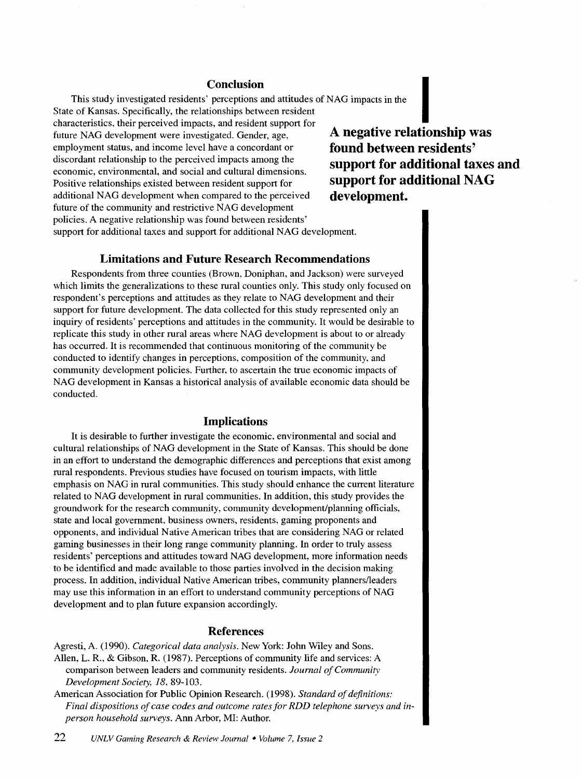### **Conclusion**

This study investigated residents' perceptions and attitudes of NAG impacts in the State of Kansas. Specifically, the relationships between resident

**Conclusion**<br>This study investigated residents' perceptions and attitudes of NAG impacts in the<br>State of Kansas. Specifically, the relationships between resident<br>characteristics, their perceived impacts, and resident suppo future NAG development were investigated. Gender, age, employment status, and income level have a concordant or discordant relationship to the perceived impacts among the economic, environmental, and social and cultural dimensions. Positive relationships existed between resident support for additional NAG development when compared to the perceived future of the community and restrictive NAG development policies. A negative relationship was found between residents' support for additional taxes and support for additional NAG development.

**A negative relationship was found between residents' support for additional taxes and support for additional NAG development.** 

#### **Limitations and Future Research Recommendations**

Respondents from three counties (Brown, Doniphan, and Jackson) were surveyed which limits the generalizations to these rural counties only. This study only focused on respondent's perceptions and attitudes as they relate to NAG development and their support for future development. The data collected for this study represented only an inquiry of residents' perceptions and attitudes in the community. It would be desirable to replicate this study in other rural areas where NAG development is about to or already has occurred. It is recommended that continuous monitoring of the community be conducted to identify changes in perceptions, composition of the community, and community development policies. Further, to ascertain the true economic impacts of NAG development in Kansas a historical analysis of available economic data should be conducted.

#### **Implications**

It is desirable to further investigate the economic, environmental and social and cultural relationships of NAG development in the State of Kansas. This should be done in an effort to understand the demographic differences and perceptions that exist among rural respondents. Previous studies have focused on tourism impacts, with little emphasis on NAG in rural communities. This study should enhance the current literature related to NAG development in rural communities. In addition, this study provides the groundwork for the research community, community development/planning officials, state and local government, business owners, residents, gaming proponents and opponents, and individual Native American tribes that are considering NAG or related gaming businesses in their long range community planning. In order to truly assess residents' perceptions and attitudes toward NAG development, more information needs to be identified and made available to those parties involved in the decision making process. In addition, individual Native American tribes, community planners/leaders may use this information in an effort to understand community perceptions of NAG development and to plan future expansion accordingly.

#### **References**

Agresti, A. (1990). *Categorical data analysis.* New York: John Wiley and Sons. Allen, L. R., & Gibson, R. (1987). Perceptions of community life and services: A comparison between leaders and community residents. *Journal of Community Development Society, 18,* 89-103.

American Association for Public Opinion Research. (1998). *Standard of definitions: Final dispositions of case codes and outcome rates for RDD telephone surveys and inperson household surveys.* Ann Arbor, MI: Author.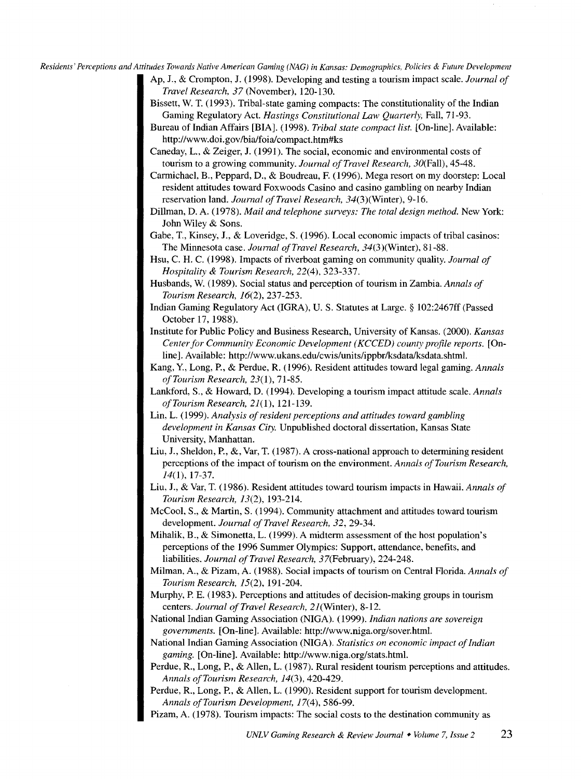Ap, J., & Crompton, J. (1998). Developing and testing a tourism impact scale. *Journal of Travel Research, 37* (November), 120-130.

- Bissett, W. T. (1993). Tribal-state gaming compacts: The constitutionality of the Indian Gaming Regulatory Act. *Hastings Constitutional Law Quarterly,* Fall, 71-93.
- Bureau of Indian Affairs [BIA]. ( 1998). *Tribal state compact list.* [On-line]. Available: http://www.doi.gov/bia/foia/compact.htm#ks
- Caneday, L., & Zeiger, J. (1991). The social, economic and environmental costs of tourism to a growing community. *Journal of Travel Research,* 30(Fall), 45-48.
- Carmichael, B., Peppard, D., & Boudreau, F. (1996). Mega resort on my doorstep: Local resident attitudes toward Foxwoods Casino and casino gambling on nearby Indian reservation land. *Journal ofTravel Research,* 34(3)(Winter), 9-16.

Dillman, D. A. ( 1978). *Mail and telephone surveys: The total design method.* New York: John Wiley & Sons.

Gabe, T., Kinsey, J., & Loveridge, S. (1996). Local economic impacts of tribal casinos: The Minnesota case. *Journal ofTravel Research,* 34(3)(Winter), 81-88.

- Hsu, C. H. C. (1998). Impacts of riverboat gaming on community quality. *Journal of Hospitality* & *Tourism Research,* 22(4), 323-337.
- Husbands, W. (1989). Social status and perception of tourism in Zambia. *Annals of Tourism Research,* 16(2), 237-253.
- Indian Gaming Regulatory Act (IGRA), U.S. Statutes at Large. § 102:2467ff (Passed October 17, 1988).
- Institute for Public Policy and Business Research, University of Kansas. (2000). *Kansas Center for Community Economic Development ( KCCED) county profile reports.* [Online]. Available: http://www.ukans.edu/cwis/units/ippbr/ksdata/ksdata.shtml.
- Kang, Y., Long, P., & Perdue, R. (1996). Resident attitudes toward legal gaming. *Annals of Tourism Research,* 23( I), 71-85.
- Lankford, S., & Howard, D. (1994). Developing a tourism impact attitude scale. *Annals ofTourism Research,* 21(1), 121-139.
- Lin, L. (1999). *Analysis of resident perceptions and attitudes toward gambling development in Kansas City.* Unpublished doctoral dissertation, Kansas State University, Manhattan.
- Liu, J., Sheldon, P., &, Var, T. (1987). A cross-national approach to determining resident perceptions of the impact of tourism on the environment. *Annals of Tourism Research, 14(1),* 17-37.
- Liu, J., & Var, T. (1986). Resident attitudes toward tourism impacts in Hawaii. *Annals of Tourism Research,* 13(2), 193-214.
- McCool, S., & Martin, S. (1994). Community attachment and attitudes toward tourism development. *Journal of Travel Research, 32,* 29-34.
- Mihalik, B., & Simonetta, L. (1999). A midterm assessment of the host population's perceptions of the 1996 Summer Olympics: Support, attendance, benefits, and liabilities. *Journal of Travel Research,* 37(February), 224-248.
- Milman, A., & Pizam, A. (1988). Social impacts of tourism on Central Florida. *Annals of Tourism Research,* 15(2), 191-204.
- Murphy, P. E. (1983). Perceptions and attitudes of decision-making groups in tourism centers. *Journal of Travel Research, 21*(Winter), 8-12.
- National Indian Gaming Association (NIGA). (1999). *Indian nations are sovereign governments.* [On-line]. Available: http://www.niga.org/sover.html.
- National Indian Gaming Association (NIGA). *Statistics on economic impact of Indian gaming.* [On-line]. Available: http://www.niga.org/stats.html.
- Perdue, R., Long, P., & Allen, L. ( 1987). Rural resident tourism perceptions and attitudes. *Annals ofTourism Research, 14(3),* 420-429.
- Perdue, R., Long, P., & Allen, L. (1990). Resident support for tourism development. *Annals ofTourism Development,* I7(4), 586-99.
- Pizam, A. (1978). Tourism impacts: The social costs to the destination community as